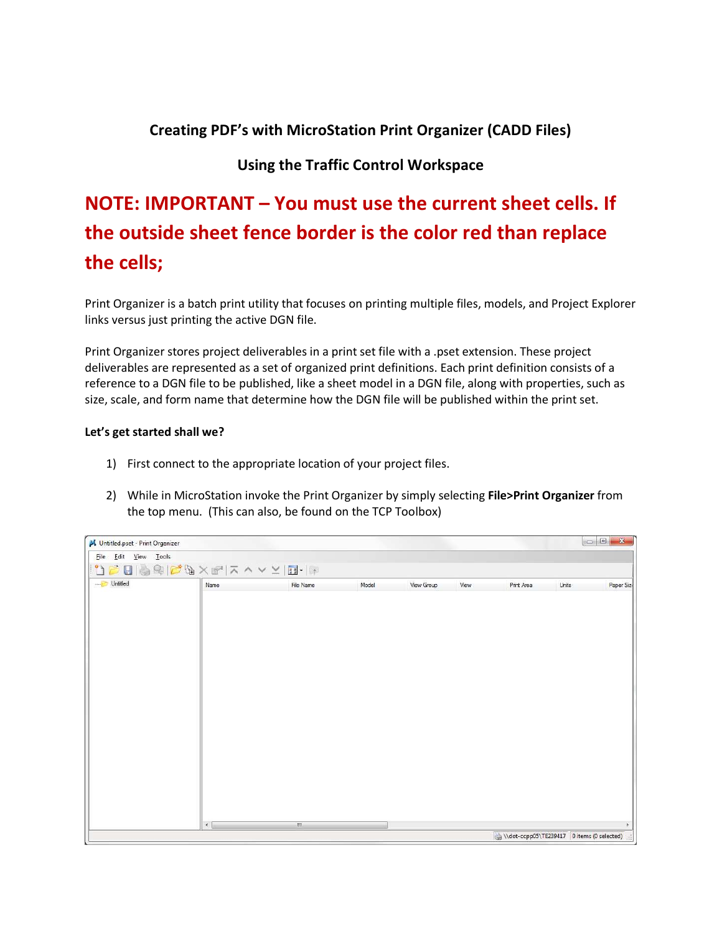# Creating PDF's with MicroStation Print Organizer (CADD Files)

### Using the Traffic Control Workspace

# NOTE: IMPORTANT – You must use the current sheet cells. If the outside sheet fence border is the color red than replace the cells;

Print Organizer is a batch print utility that focuses on printing multiple files, models, and Project Explorer links versus just printing the active DGN file.

Print Organizer stores project deliverables in a print set file with a .pset extension. These project deliverables are represented as a set of organized print definitions. Each print definition consists of a reference to a DGN file to be published, like a sheet model in a DGN file, along with properties, such as size, scale, and form name that determine how the DGN file will be published within the print set.

### Let's get started shall we?

- 1) First connect to the appropriate location of your project files.
- 2) While in MicroStation invoke the Print Organizer by simply selecting File>Print Organizer from the top menu. (This can also, be found on the TCP Toolbox)

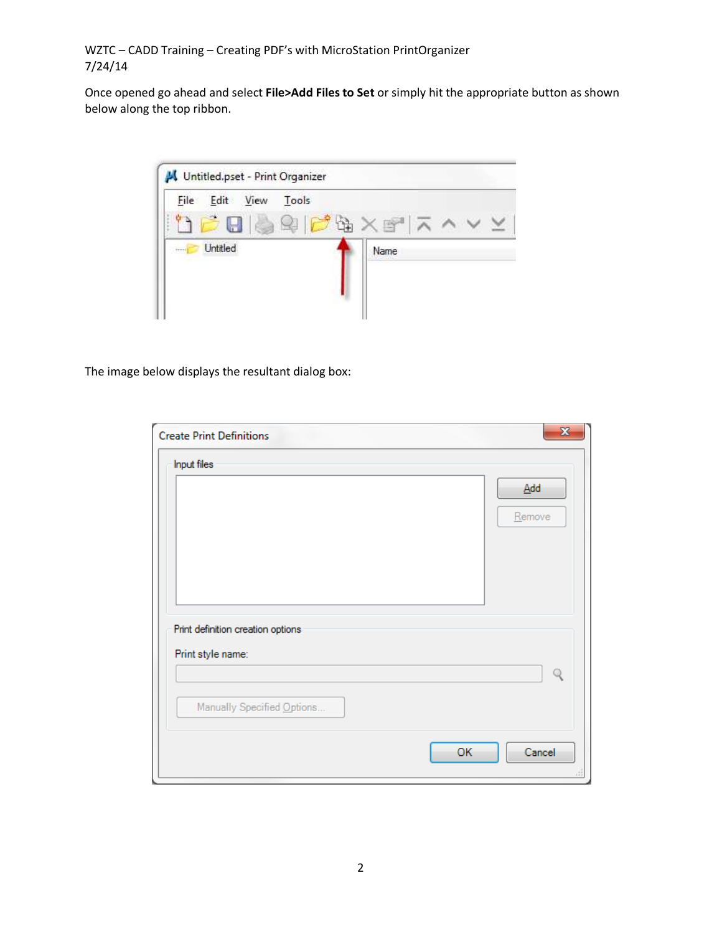Once opened go ahead and select File>Add Files to Set or simply hit the appropriate button as shown below along the top ribbon.



The image below displays the resultant dialog box:

| <b>Create Print Definitions</b>   | $\mathbf{x}$ |
|-----------------------------------|--------------|
| Input files                       |              |
|                                   | $\Delta$ dd  |
|                                   | Remove       |
|                                   |              |
|                                   |              |
|                                   |              |
|                                   |              |
|                                   |              |
| Print definition creation options |              |
| Print style name:                 |              |
|                                   | Q            |
| Manually Specified Options        |              |
|                                   |              |
|                                   |              |
|                                   | OK<br>Cancel |
|                                   | лi           |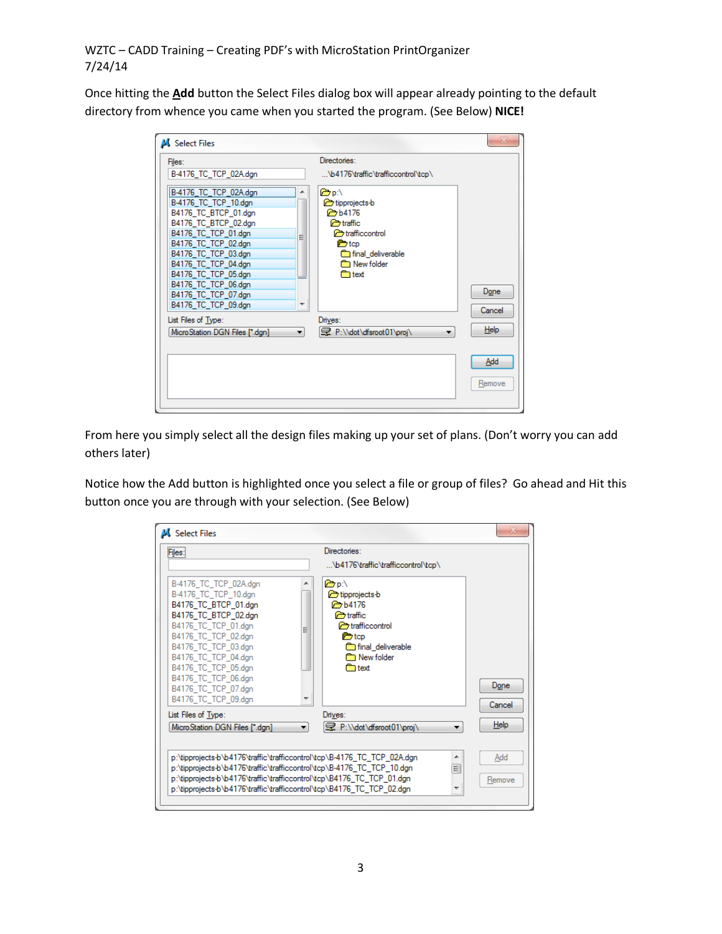Once hitting the Add button the Select Files dialog box will appear already pointing to the default directory from whence you came when you started the program. (See Below) NICE!

| Select Files                                                                                                                                                                                                                                                                                                                                                                      |                                                                                                                                                                                                                                                                                          |                               |
|-----------------------------------------------------------------------------------------------------------------------------------------------------------------------------------------------------------------------------------------------------------------------------------------------------------------------------------------------------------------------------------|------------------------------------------------------------------------------------------------------------------------------------------------------------------------------------------------------------------------------------------------------------------------------------------|-------------------------------|
| Files:<br>B-4176 TC TCP 02A.dgn<br>B-4176 TC TCP 02A.dgn<br>B-4176_TC_TCP_10.dgn<br>B4176 TC BTCP 01.dgn<br>B4176_TC_BTCP_02.dgn<br>B4176 TC_TCP_01.dgn<br>B4176 TC TCP 02.dgn<br>B4176 TC TCP 03.dgn<br>B4176 TC TCP 04.dgn<br>B4176 TC TCP 05.dgn<br>B4176 TC TCP 06.dgn<br>B4176 TC TCP 07.dgn<br>B4176_TC_TCP_09.dgn<br>List Files of Type:<br>MicroStation DGN Files [*.dqn] | Directories:<br>\b4176\traffic\trafficcontrol\tcp\<br>$\epsilon$ p:\<br>ch tipprojects-b<br>P <sub>b</sub> b4176<br><b>Profit</b> traffic<br><b>Proficcontrol</b><br><b>P</b> tcp<br>final deliverable<br><b>new folder</b><br><b>E</b> ntext<br>┯<br>Drives:<br>P:\\dot\dfsroot01\proj\ | Done<br>Cancel<br>Help<br>Add |
|                                                                                                                                                                                                                                                                                                                                                                                   |                                                                                                                                                                                                                                                                                          | Remove                        |

From here you simply select all the design files making up your set of plans. (Don't worry you can add others later)

Notice how the Add button is highlighted once you select a file or group of files? Go ahead and Hit this button once you are through with your selection. (See Below)

| Files:                                                                                                                                                                                                                                                                                              | Directories:                                                                                                                                                                |                    |               |
|-----------------------------------------------------------------------------------------------------------------------------------------------------------------------------------------------------------------------------------------------------------------------------------------------------|-----------------------------------------------------------------------------------------------------------------------------------------------------------------------------|--------------------|---------------|
|                                                                                                                                                                                                                                                                                                     | \b4176\traffic\trafficcontrol\tcp\                                                                                                                                          |                    |               |
| B-4176 TC TCP 02A.dqn<br>B-4176_TC_TCP_10.dgn<br>B4176 TC BTCP 01.dgn<br>B4176 TC BTCP 02.dqn<br>B4176 TC TCP 01.dgn<br>B4176 TC TCP 02.dgn<br>B4176 TC TCP 03.dgn<br>B4176 TC TCP 04.dan<br>B4176_TC_TCP_05.dgn<br>B4176_TC_TCP_06.dgn<br>B4176 TC TCP 07.dgn<br>B4176 TC TCP 09.dgn               | $\bigcirc$ p:\<br>tipprojects-b<br><b>P</b> b4176<br><b>P</b> traffic<br><b>P</b> trafficcontrol<br><b>E</b> tcp<br>final deliverable<br><b>New folder</b><br><b>Profit</b> |                    | Done          |
| List Files of Type:                                                                                                                                                                                                                                                                                 | Drives:                                                                                                                                                                     |                    | Cancel        |
| MicroStation DGN Files [*.dgn]                                                                                                                                                                                                                                                                      | ■ P:\\dot\dfsroot01\proj\                                                                                                                                                   |                    | Help          |
| p:\tipprojects-b\b4176\traffic\trafficcontrol\tcp\B-4176_TC_TCP_02A.dgn<br>p:\tipprojects-b\b4176\traffic\trafficcontrol\tcp\B-4176 TC TCP 10.dgn<br>p:\tipprojects-b\b4176\traffic\trafficcontrol\tcp\B4176 TC TCP 01.dqn<br>p:\tipprojects-b\b4176\traffic\trafficcontrol\tcp\B4176 TC TCP 02.dgn |                                                                                                                                                                             | ▲<br>$\equiv$<br>▼ | Add<br>Remove |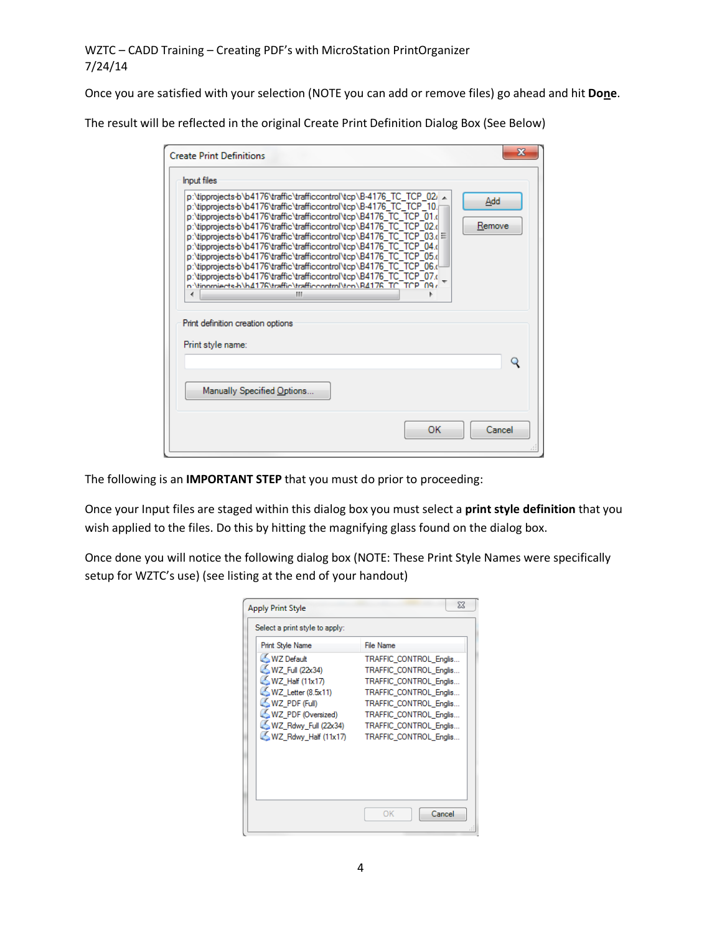Once you are satisfied with your selection (NOTE you can add or remove files) go ahead and hit Done.

The result will be reflected in the original Create Print Definition Dialog Box (See Below)

| Input files                                            |                            |                                                                                                                                                                                                                                                                                                                                                                                                                                                                                                                                                                                                                                                                                                                                      |               |
|--------------------------------------------------------|----------------------------|--------------------------------------------------------------------------------------------------------------------------------------------------------------------------------------------------------------------------------------------------------------------------------------------------------------------------------------------------------------------------------------------------------------------------------------------------------------------------------------------------------------------------------------------------------------------------------------------------------------------------------------------------------------------------------------------------------------------------------------|---------------|
|                                                        | ш                          | p:\tipprojects-b\b4176\traffic\trafficcontrol\tcp\B-4176 TC TCP 02 _<br>p:\tipprojects-b\b4176\traffic\trafficcontrol\tcp\B-4176_TC_TCP_10. <br>p:\tipprojects-b\b4176\traffic\trafficcontrol\tcp\B4176 TC TCP 01.(<br>p:\tipprojects-b\b4176\traffic\trafficcontrol\tcp\B4176 TC TCP 02.d<br>p:\tipprojects-b\b4176\traffic\trafficcontrol\tcp\B4176_TC_TCP_03.( =<br>p:\tipprojects-b\b4176\traffic\trafficcontrol\tcp\B4176 TC TCP 04.d<br>p:\tipprojects-b\b4176\traffic\trafficcontrol\tcp\B4176_TC_TCP_05.d<br>p:\tipprojects-b\b4176\traffic\trafficcontrol\tcp\B4176_TC_TCP_06.d<br>p:\tipprojects-b\b4176\traffic\trafficcontrol\tcp\B4176_TC_TCP_07.o<br>n:\tinnmiects-h\h4176\traffic\trafficcontml\tcn\R4176_TC_TCP_09 o | Add<br>Remove |
|                                                        |                            |                                                                                                                                                                                                                                                                                                                                                                                                                                                                                                                                                                                                                                                                                                                                      |               |
|                                                        |                            |                                                                                                                                                                                                                                                                                                                                                                                                                                                                                                                                                                                                                                                                                                                                      |               |
|                                                        |                            |                                                                                                                                                                                                                                                                                                                                                                                                                                                                                                                                                                                                                                                                                                                                      |               |
|                                                        |                            |                                                                                                                                                                                                                                                                                                                                                                                                                                                                                                                                                                                                                                                                                                                                      |               |
|                                                        |                            |                                                                                                                                                                                                                                                                                                                                                                                                                                                                                                                                                                                                                                                                                                                                      |               |
| Print definition creation options<br>Print style name: | Manually Specified Options |                                                                                                                                                                                                                                                                                                                                                                                                                                                                                                                                                                                                                                                                                                                                      |               |

The following is an IMPORTANT STEP that you must do prior to proceeding:

Once your Input files are staged within this dialog box you must select a print style definition that you wish applied to the files. Do this by hitting the magnifying glass found on the dialog box.

Once done you will notice the following dialog box (NOTE: These Print Style Names were specifically setup for WZTC's use) (see listing at the end of your handout)

| <b>Apply Print Style</b>                                                                                                                                      | 53                                                                                                                                                                                                                  |
|---------------------------------------------------------------------------------------------------------------------------------------------------------------|---------------------------------------------------------------------------------------------------------------------------------------------------------------------------------------------------------------------|
| Select a print style to apply:                                                                                                                                |                                                                                                                                                                                                                     |
| <b>Print Style Name</b>                                                                                                                                       | <b>File Name</b>                                                                                                                                                                                                    |
| WZ Default<br>WZ_Full (22x34)<br>WZ_Half (11x17)<br>WZ_Letter (8.5x11)<br>WZ PDF (Full)<br>WZ_PDF (Oversized)<br>WZ Rdwy Full (22x34)<br>WZ_Rdwy_Half (11x17) | TRAFFIC CONTROL Englis<br>TRAFFIC CONTROL Englis<br>TRAFFIC CONTROL Englis<br>TRAFFIC_CONTROL_Englis<br>TRAFFIC CONTROL Englis<br>TRAFFIC CONTROL Englis<br>TRAFFIC CONTROL Englis<br><b>TRAFFIC CONTROL Englis</b> |
|                                                                                                                                                               | Cancel<br>OK                                                                                                                                                                                                        |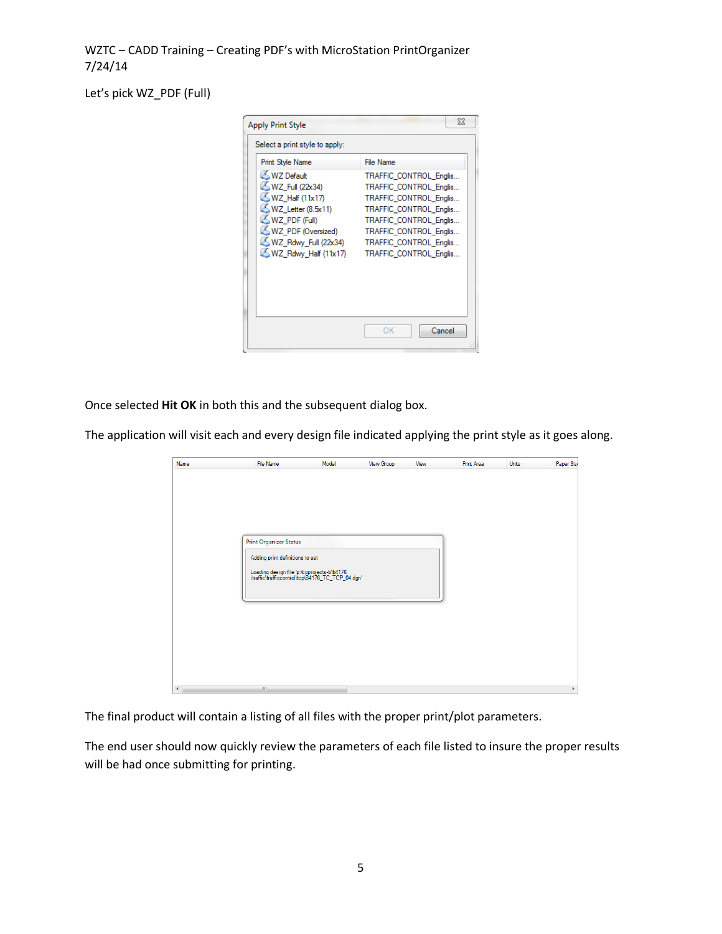Let's pick WZ\_PDF (Full)

| <b>Apply Print Style</b>                                                                                                                                      | 53                                                                                                                                                                                                           |
|---------------------------------------------------------------------------------------------------------------------------------------------------------------|--------------------------------------------------------------------------------------------------------------------------------------------------------------------------------------------------------------|
| Select a print style to apply:                                                                                                                                |                                                                                                                                                                                                              |
| Print Style Name                                                                                                                                              | <b>File Name</b>                                                                                                                                                                                             |
| WZ Default<br>WZ_Full (22x34)<br>WZ Half (11x17)<br>WZ Letter (8.5x11)<br>WZ PDF (Full)<br>WZ_PDF (Oversized)<br>WZ_Rdwy_Full (22x34)<br>WZ Rdwy Half (11x17) | TRAFFIC CONTROL Englis<br>TRAFFIC_CONTROL_Englis<br>TRAFFIC_CONTROL_Englis<br>TRAFFIC CONTROL Englis<br>TRAFFIC CONTROL Englis<br>TRAFFIC CONTROL Englis<br>TRAFFIC CONTROL Englis<br>TRAFFIC CONTROL Englis |
|                                                                                                                                                               | Cancel<br>OK                                                                                                                                                                                                 |

Once selected Hit OK in both this and the subsequent dialog box.

The application will visit each and every design file indicated applying the print style as it goes along.

| <b>Print Organizer Status</b>                                                                   |  |  |  |
|-------------------------------------------------------------------------------------------------|--|--|--|
|                                                                                                 |  |  |  |
| Adding print definitions to set                                                                 |  |  |  |
| Loading design file 'p:\tipprojects-b\b4176<br>\traffic\trafficcontrol\tcp\B4176_TC_TCP_04.dgn' |  |  |  |
|                                                                                                 |  |  |  |
|                                                                                                 |  |  |  |
|                                                                                                 |  |  |  |
|                                                                                                 |  |  |  |
|                                                                                                 |  |  |  |
|                                                                                                 |  |  |  |
|                                                                                                 |  |  |  |
|                                                                                                 |  |  |  |
|                                                                                                 |  |  |  |
|                                                                                                 |  |  |  |
|                                                                                                 |  |  |  |

The final product will contain a listing of all files with the proper print/plot parameters.

The end user should now quickly review the parameters of each file listed to insure the proper results will be had once submitting for printing.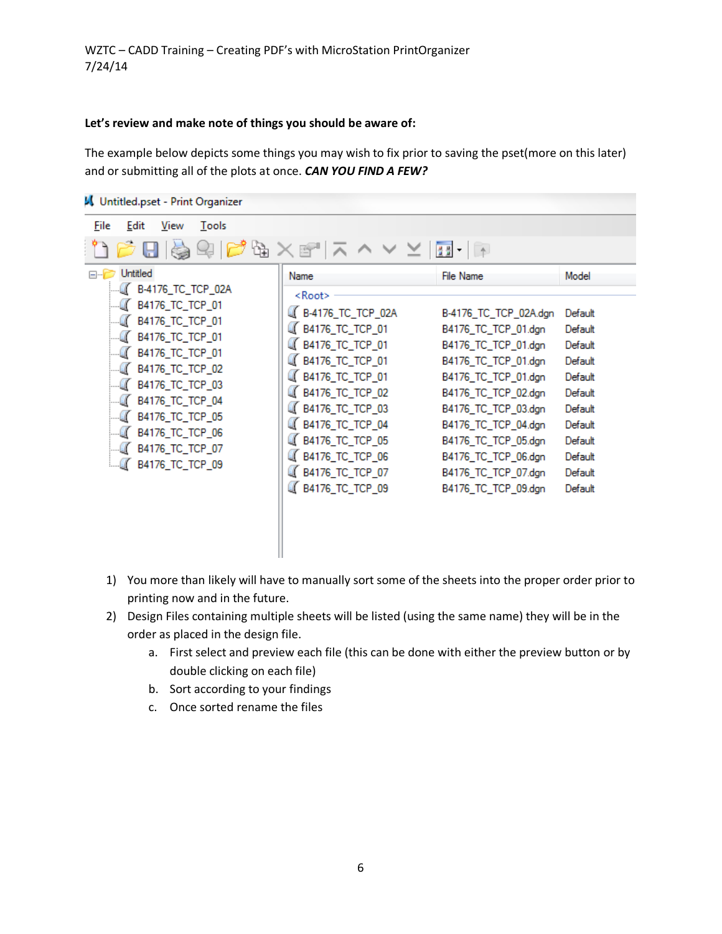### Let's review and make note of things you should be aware of:

The example below depicts some things you may wish to fix prior to saving the pset(more on this later) and or submitting all of the plots at once. CAN YOU FIND A FEW?

| <b>W</b> Untitled.pset - Print Organizer                                                                                                                                                                                           |                                                                                                                                                                                                                                                                       |                                                                                                                                                                                                                                                                                    |                                                                                                                                  |
|------------------------------------------------------------------------------------------------------------------------------------------------------------------------------------------------------------------------------------|-----------------------------------------------------------------------------------------------------------------------------------------------------------------------------------------------------------------------------------------------------------------------|------------------------------------------------------------------------------------------------------------------------------------------------------------------------------------------------------------------------------------------------------------------------------------|----------------------------------------------------------------------------------------------------------------------------------|
| <b>File</b><br>Edit<br>View<br>Tools                                                                                                                                                                                               | $\times$ et $\blacksquare$                                                                                                                                                                                                                                            | 提品                                                                                                                                                                                                                                                                                 |                                                                                                                                  |
| <b>Untitled</b>                                                                                                                                                                                                                    | Name                                                                                                                                                                                                                                                                  | <b>File Name</b>                                                                                                                                                                                                                                                                   | Model                                                                                                                            |
| B-4176_TC_TCP_02A<br>B4176_TC_TCP_01<br>B4176_TC_TCP_01<br>B4176_TC_TCP_01<br>B4176_TC_TCP_01<br>B4176_TC_TCP_02<br>B4176_TC_TCP_03<br>B4176_TC_TCP_04<br>B4176_TC_TCP_05<br>B4176_TC_TCP_06<br>B4176_TC_TCP_07<br>B4176_TC_TCP_09 | $<$ Root $>$<br>64176_TC_TCP_02A<br>G B4176_TC_TCP_01<br>G B4176_TC_TCP_01<br>G B4176_TC_TCP_01<br>G B4176_TC_TCP_01<br>G B4176_TC_TCP_02<br>G B4176_TC_TCP_03<br>G B4176_TC_TCP_04<br>B4176_TC_TCP_05<br>G B4176_TC_TCP_06<br>G B4176_TC_TCP_07<br>G B4176_TC_TCP_09 | B-4176_TC_TCP_02A.dgn<br>B4176_TC_TCP_01.dgn<br>B4176_TC_TCP_01.dgn<br>B4176_TC_TCP_01.dgn<br>B4176_TC_TCP_01.dgn<br>B4176_TC_TCP_02.dgn<br>B4176_TC_TCP_03.dgn<br>B4176_TC_TCP_04.dgn<br>B4176_TC_TCP_05.dgn<br>B4176_TC_TCP_06.dgn<br>B4176_TC_TCP_07.dgn<br>B4176_TC_TCP_09.dgn | Default<br>Default<br>Default<br>Default<br>Default<br>Default<br>Default<br>Default<br>Default<br>Default<br>Default<br>Default |

- 1) You more than likely will have to manually sort some of the sheets into the proper order prior to printing now and in the future.
- 2) Design Files containing multiple sheets will be listed (using the same name) they will be in the order as placed in the design file.
	- a. First select and preview each file (this can be done with either the preview button or by double clicking on each file)
	- b. Sort according to your findings
	- c. Once sorted rename the files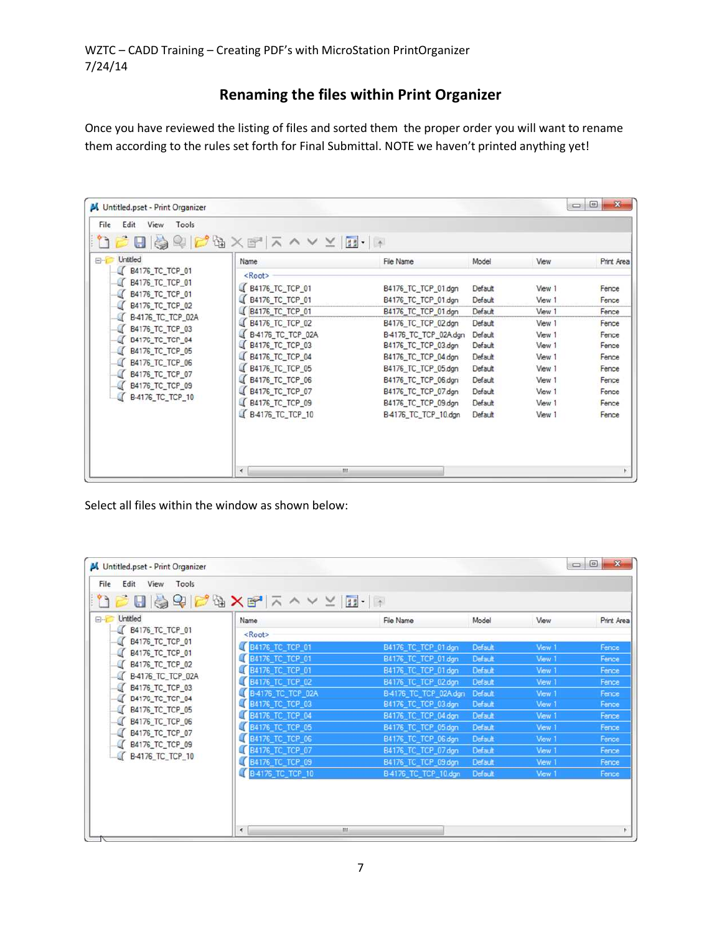# Renaming the files within Print Organizer

Once you have reviewed the listing of files and sorted them the proper order you will want to rename them according to the rules set forth for Final Submittal. NOTE we haven't printed anything yet!

| Untitled<br>$E - E$<br>B4176_TC_TCP_01 | Name                                                  | File Name                                    | Model              | View             | <b>Print Area</b> |
|----------------------------------------|-------------------------------------------------------|----------------------------------------------|--------------------|------------------|-------------------|
| B4176_TC_TCP_01<br>B4176_TC_TCP_01     | <root><br/>B4176_TC_TCP_01<br/>B4176_TC_TCP_01</root> | B4176_TC_TCP_01.dgn<br>B4176_TC_TCP_01.dgn   | Default<br>Default | View 1<br>View 1 | Fence<br>Fence    |
| B4176_TC_TCP_02<br>B-4176_TC_TCP_02A   | B4176_TC_TCP_01<br>B4176 TC TCP 02                    | B4176_TC_TCP_01.dgn<br>B4176_TC_TCP_02.dgn   | Default<br>Default | View 1<br>View 1 | Fence<br>Fence    |
| B4176_TC_TCP_03<br>B4176_TC_TCP_04     | B-4176_TC_TCP_02A<br>B4176_TC_TCP_03                  | B-4176_TC_TCP_02A.dgn<br>B4176_TC_TCP_03.dgn | Default<br>Default | View 1<br>View 1 | Fence<br>Fence    |
| B4176_TC_TCP_05<br>B4176_TC_TCP_06     | B4176_TC_TCP_04<br>B4176_TC_TCP_05                    | B4176_TC_TCP_04.dgn<br>B4176_TC_TCP_05.dgn   | Default<br>Default | View 1<br>View 1 | Fence<br>Fence    |
| B4176_TC_TCP_07<br>B4176_TC_TCP_09     | B4176_TC_TCP_06<br>B4176_TC_TCP_07                    | B4176_TC_TCP_06.dgn                          | Default<br>Default | View 1<br>View 1 | Fence             |
| B-4176 TC TCP 10                       | B4176_TC_TCP_09                                       | B4176_TC_TCP_07.dgn<br>B4176_TC_TCP_09.dgn   | Default            | View 1           | Fence<br>Fence    |
|                                        | ■ B-4176_TC_TCP_10                                    | B-4176 TC TCP 10.dgn                         | Default            | View 1           | Fence             |
|                                        |                                                       |                                              |                    |                  |                   |
|                                        | m<br>$\epsilon$                                       |                                              |                    |                  |                   |

Select all files within the window as shown below:

| Untitled.pset - Print Organizer                                                                                                                                                                                                                         |                                                                                                                                                                                                                                                                                        |                                                                                                                                                                                                                                                                                                         |                                                                                                                                           | $\Rightarrow$                                                                                                                                                       | $\mathbf{x}$<br>$\Box$                                                                                                        |
|---------------------------------------------------------------------------------------------------------------------------------------------------------------------------------------------------------------------------------------------------------|----------------------------------------------------------------------------------------------------------------------------------------------------------------------------------------------------------------------------------------------------------------------------------------|---------------------------------------------------------------------------------------------------------------------------------------------------------------------------------------------------------------------------------------------------------------------------------------------------------|-------------------------------------------------------------------------------------------------------------------------------------------|---------------------------------------------------------------------------------------------------------------------------------------------------------------------|-------------------------------------------------------------------------------------------------------------------------------|
| Edit<br>File<br>View<br>Tools                                                                                                                                                                                                                           |                                                                                                                                                                                                                                                                                        |                                                                                                                                                                                                                                                                                                         |                                                                                                                                           |                                                                                                                                                                     |                                                                                                                               |
| Untitled<br>$-3$<br>B4176_TC_TCP_01<br>B4176_TC_TCP_01<br>B4176_TC_TCP_01<br>B4176_TC_TCP_02<br>B-4176_TC_TCP_02A<br>B4176_TC_TCP_03<br>B4176_TC_TCP_04<br>B4176_TC_TCP_05<br>B4176_TC_TCP_06<br>B4176_TC_TCP_07<br>B4176_TC_TCP_09<br>B-4176_TC_TCP_10 | Name<br><root><br/>B4176 TC TCP 01<br/>В4176_ТС_ТСР_01<br/>B4176_TC_TCP_01<br/>B4176_TC_TCP_02<br/>B-4176 TC_TCP_02A<br/>B4176_TC_TCP_03<br/><b>B4176 TC TCP 04</b><br/><b>B4176 TC TCP 05</b><br/>B4176 TC_TCP_06<br/>B4176_TC_TCP_07<br/>B4176 TC TCP 09<br/>B-4176_TC_TCP_10</root> | File Name<br>B4176 TC_TCP_01.dgn<br>B4176_TC_TCP_01.dgn<br>B4176 TC TCP 01.dgn<br>B4176_TC_TCP_02.dgn<br>B-4176 TC_TCP_02A.dgn<br>84176_TC_TCP_03.dgn<br><b>B4176 TC TCP 04.dgn</b><br>B4176 TC TCP 05.dgn<br>B4176_TC_TCP_06.dgn<br>B4176 TC TCP 07.dgn<br>B4176 TC TCP 09.dgn<br>B-4176_TC_TCP_10.dgn | Model<br>Default<br>Default<br>Default<br>Default<br>Default<br>Default<br>Default<br>Default<br>Default<br>Default<br>Default<br>Default | View<br>View 1<br>View 1<br><b>View</b><br>View 1<br>View <sup>1</sup><br><b>View</b><br>View<br>View 1<br><b>View</b><br><b>View</b><br><b>View</b><br><b>View</b> | <b>Print Area</b><br>Fence<br>Fence<br>Fence<br>Fence<br>Fence<br>Fence<br>Fence<br>Fence<br>Fence<br>Fence<br>Fence<br>Fence |
|                                                                                                                                                                                                                                                         | 111.<br>$\overline{\phantom{a}}$                                                                                                                                                                                                                                                       |                                                                                                                                                                                                                                                                                                         |                                                                                                                                           |                                                                                                                                                                     |                                                                                                                               |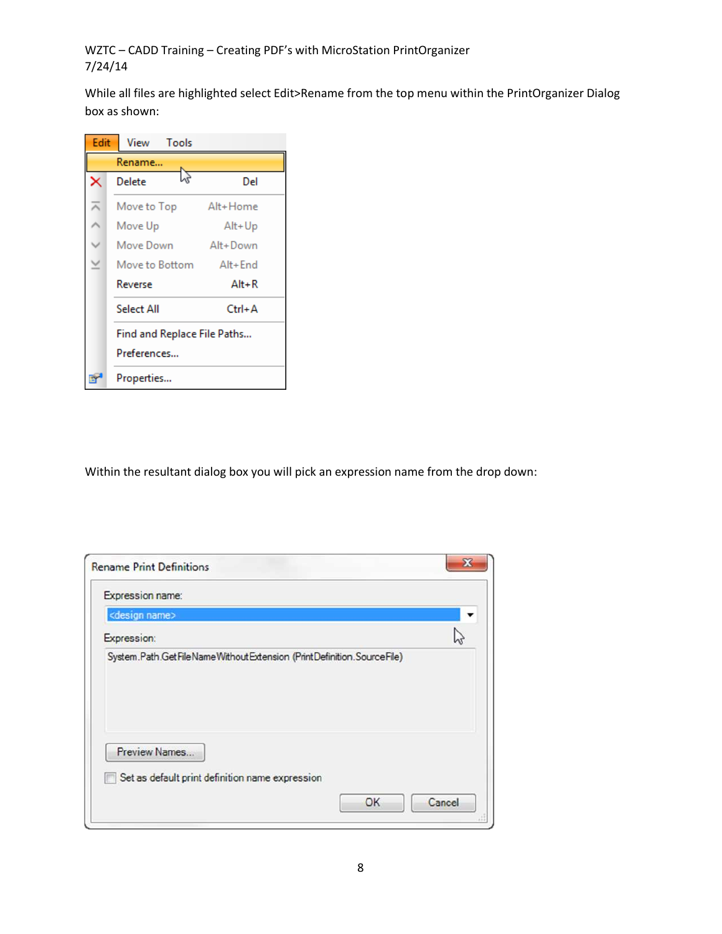While all files are highlighted select Edit>Rename from the top menu within the PrintOrganizer Dialog box as shown:

| Edit | View Tools                  |          |
|------|-----------------------------|----------|
|      | Rename                      |          |
| ×    | ĽY<br>Delete                | Del      |
|      | Move to Top                 | Alt+Home |
|      | Move Up                     | Alt+Up   |
|      | Move Down                   | Alt+Down |
|      | Move to Bottom Alt+End      |          |
|      | Reverse                     | $Alt+R$  |
|      | Select All                  | Ctrl+A   |
|      | Find and Replace File Paths |          |
|      | Preferences                 |          |
|      | Properties                  |          |

Within the resultant dialog box you will pick an expression name from the drop down:

| Expression name:                                                     |   |
|----------------------------------------------------------------------|---|
| <design name=""></design>                                            | ▼ |
| Expression:                                                          |   |
| System.Path.GetFileNameWithoutExtension (PrintDefinition.SourceFile) |   |
|                                                                      |   |
| Preview Names                                                        |   |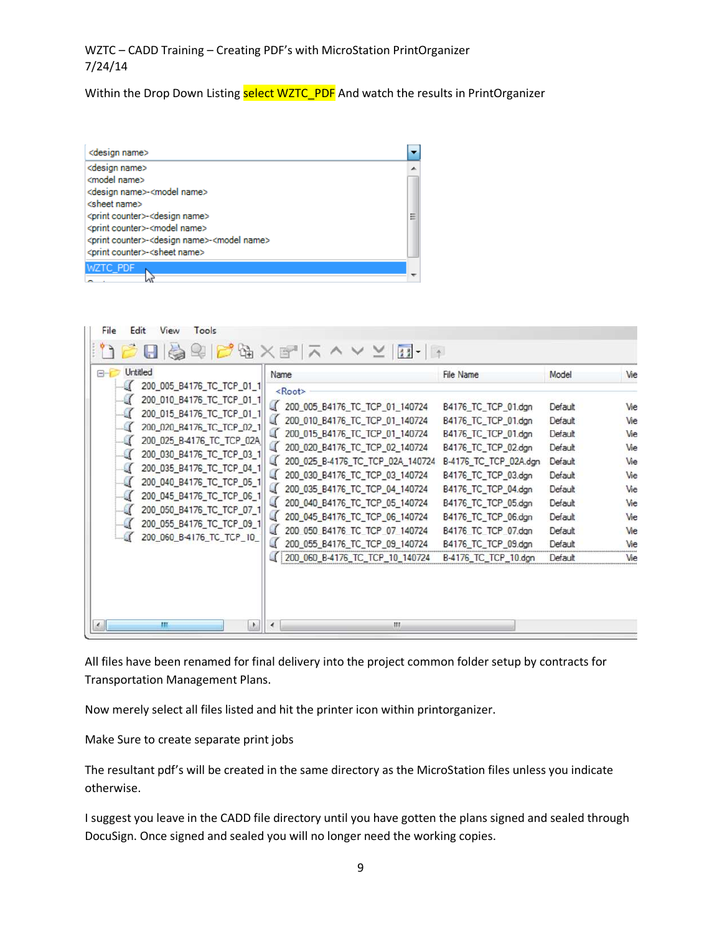Within the Drop Down Listing select WZTC\_PDF And watch the results in PrintOrganizer



| File<br>Tools<br>Edit<br>View                                                                                                                                                                                                                                                                                                                                        |                                                                                                                                                                                                                                                                                                                                                                                                                                                                    |                                                                                                                                                                                                                                                                                                  |                                                                                                                                           |                                                                                         |
|----------------------------------------------------------------------------------------------------------------------------------------------------------------------------------------------------------------------------------------------------------------------------------------------------------------------------------------------------------------------|--------------------------------------------------------------------------------------------------------------------------------------------------------------------------------------------------------------------------------------------------------------------------------------------------------------------------------------------------------------------------------------------------------------------------------------------------------------------|--------------------------------------------------------------------------------------------------------------------------------------------------------------------------------------------------------------------------------------------------------------------------------------------------|-------------------------------------------------------------------------------------------------------------------------------------------|-----------------------------------------------------------------------------------------|
|                                                                                                                                                                                                                                                                                                                                                                      | $\mathbb{R} \times \mathbb{R}^n \times \mathbb{R}$<br>浸膏                                                                                                                                                                                                                                                                                                                                                                                                           |                                                                                                                                                                                                                                                                                                  |                                                                                                                                           |                                                                                         |
| Untitled<br>200_005_B4176_TC_TCP_01_1<br>200_010_B4176_TC_TCP_01_1<br>200_015_B4176_TC_TCP_01_1<br>200_020_B4176_TC_TCP_02_1<br>200_025_B-4176_TC_TCP_02A<br>200_030_B4176_TC_TCP_03_1<br>200_035_B4176_TC_TCP_04_1<br>200_040_B4176_TC_TCP_05_1<br>200_045_B4176_TC_TCP_06_1<br>200_050_B4176_TC_TCP_07_1<br>200_055_B4176_TC_TCP_09_1<br>200_060_B-4176_TC_TCP_10_ | Name<br><root><br/>200_005_B4176_TC_TCP_01_140724<br/>200_010_B4176_TC_TCP_01_140724<br/>200_015_B4176_TC_TCP_01_140724<br/>200_020_B4176_TC_TCP_02_140724<br/>200_025_B-4176_TC_TCP_02A_140724<br/>200_030_B4176_TC_TCP_03_140724<br/>200_035_B4176_TC_TCP_04_140724<br/>200_040_B4176_TC_TCP_05_140724<br/>200_045_B4176_TC_TCP_06_140724<br/>a<br/>200_050_B4176_TC_TCP_07_140724<br/>200_055_B4176_TC_TCP_09_140724<br/>200 060 B-4176 TC TCP 10 140724</root> | File Name<br>B4176_TC_TCP_01.dgn<br>B4176 TC TCP 01.dgn<br>B4176_TC_TCP_01.dgn<br>B4176_TC_TCP_02.dgn<br>B-4176 TC_TCP_02A.dgn<br>B4176_TC_TCP_03.dgn<br>B4176_TC_TCP_04.dgn<br>B4176_TC_TCP_05.dgn<br>B4176_TC_TCP_06.dgn<br>B4176_TC_TCP_07.dgn<br>B4176_TC_TCP_09.dgn<br>B-4176 TC TCP 10.dgn | Model<br>Default<br>Default<br>Default<br>Default<br>Default<br>Default<br>Default<br>Default<br>Default<br>Default<br>Default<br>Default | Vie<br>Vie<br>Vie<br>Vie<br>Vie<br>Vie<br>Vie<br>Vie<br>Vie<br>Vie<br>Vie<br>Vie<br>Vie |
| Ш<br>h.<br>$\sim$                                                                                                                                                                                                                                                                                                                                                    | m.<br>۰                                                                                                                                                                                                                                                                                                                                                                                                                                                            |                                                                                                                                                                                                                                                                                                  |                                                                                                                                           |                                                                                         |

All files have been renamed for final delivery into the project common folder setup by contracts for Transportation Management Plans.

Now merely select all files listed and hit the printer icon within printorganizer.

Make Sure to create separate print jobs

The resultant pdf's will be created in the same directory as the MicroStation files unless you indicate otherwise.

I suggest you leave in the CADD file directory until you have gotten the plans signed and sealed through DocuSign. Once signed and sealed you will no longer need the working copies.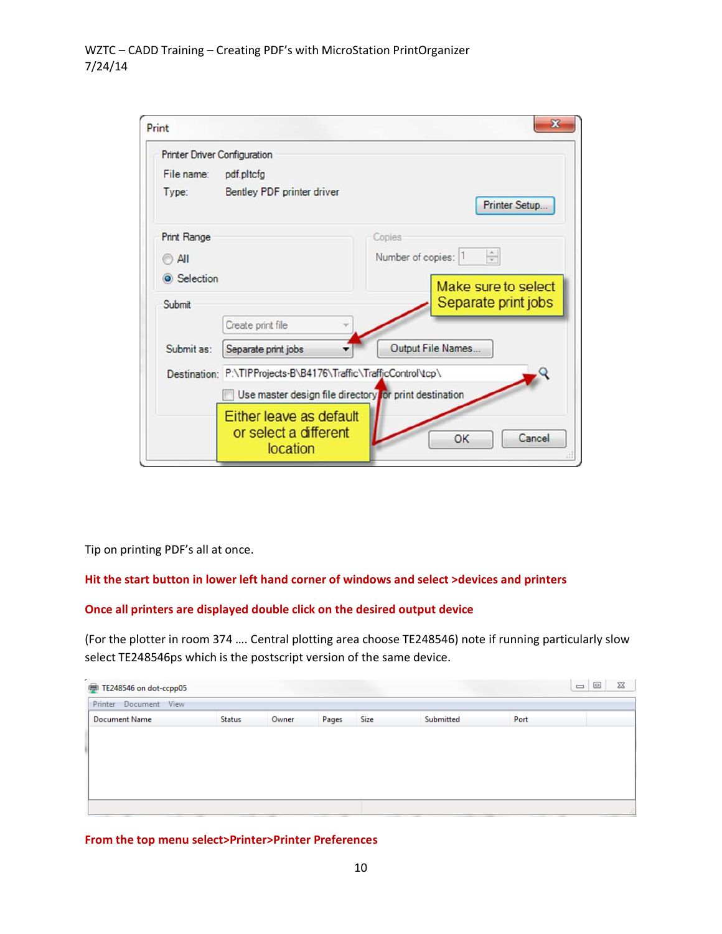| Print                        |                                                                 |                                              |
|------------------------------|-----------------------------------------------------------------|----------------------------------------------|
| Printer Driver Configuration |                                                                 |                                              |
| File name:                   | pdf.pltcfg                                                      |                                              |
| Type:                        | Bentley PDF printer driver                                      | Printer Setup                                |
| <b>Print Range</b>           |                                                                 | Copies                                       |
| All                          |                                                                 | $\frac{\Delta}{\Psi}$<br>Number of copies: 1 |
| Selection                    |                                                                 | Make sure to select                          |
| Submit                       |                                                                 | Separate print jobs                          |
|                              | Create print file                                               |                                              |
| Submit as:                   | Separate print jobs                                             | Output File Names                            |
|                              | Destination: P:\TIPProjects-B\B4176\Traffic\TrafficControl\tcp\ |                                              |
|                              | Use master design file directory for print destination          |                                              |
|                              | Either leave as default<br>or select a different<br>location    | Cancel<br>OK                                 |

Tip on printing PDF's all at once.

### Hit the start button in lower left hand corner of windows and select >devices and printers

#### Once all printers are displayed double click on the desired output device

(For the plotter in room 374 …. Central plotting area choose TE248546) note if running particularly slow select TE248546ps which is the postscript version of the same device.

| ÷<br>TE248546 on dot-ccpp05 |        |       |       |      |           |      | 23<br>$\Box$<br>$\qquad \qquad$ |
|-----------------------------|--------|-------|-------|------|-----------|------|---------------------------------|
| Printer Document View       |        |       |       |      |           |      |                                 |
| Document Name               | Status | Owner | Pages | Size | Submitted | Port |                                 |
|                             |        |       |       |      |           |      |                                 |
|                             |        |       |       |      |           |      |                                 |
|                             |        |       |       |      |           |      |                                 |
|                             |        |       |       |      |           |      |                                 |
|                             |        |       |       |      |           |      |                                 |
|                             |        |       |       |      |           |      | .11                             |

From the top menu select>Printer>Printer Preferences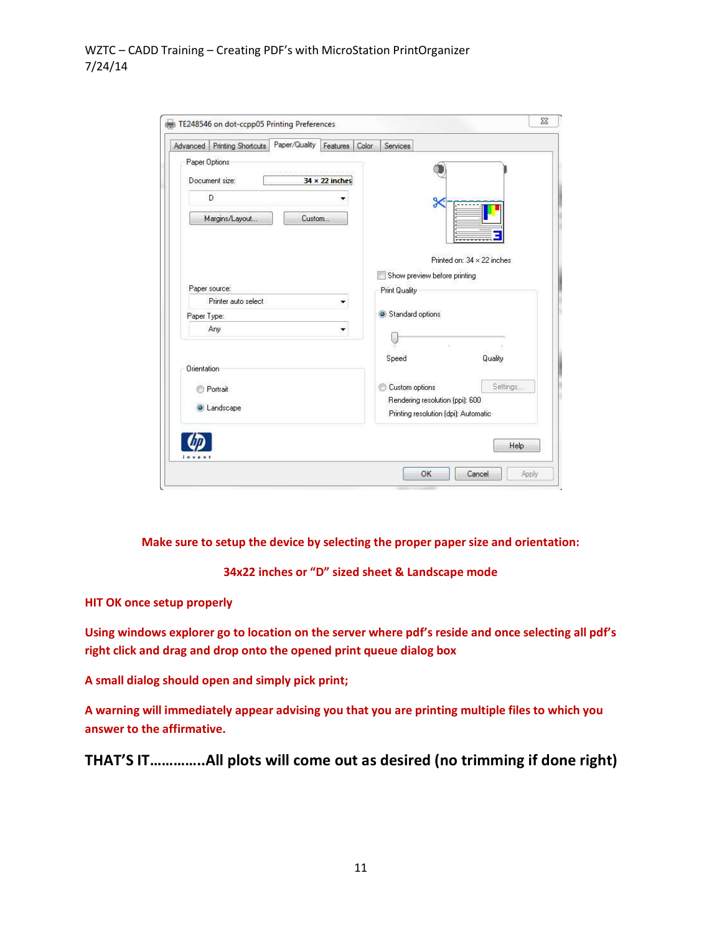| Advanced      | <b>Printing Shortcuts</b> | Paper/Quality | Features              | Color | Services                             |                            |
|---------------|---------------------------|---------------|-----------------------|-------|--------------------------------------|----------------------------|
| Paper Options |                           |               |                       |       |                                      |                            |
|               |                           |               |                       |       |                                      |                            |
|               | Document size:            |               | $34 \times 22$ inches |       |                                      |                            |
|               | D                         |               |                       |       |                                      |                            |
|               |                           |               |                       |       |                                      |                            |
|               | Margins/Layout            | Custom        |                       |       |                                      |                            |
|               |                           |               |                       |       |                                      |                            |
|               |                           |               |                       |       |                                      |                            |
|               |                           |               |                       |       |                                      | Printed on: 34 x 22 inches |
|               |                           |               |                       |       | Show preview before printing         |                            |
|               | Paper source:             |               |                       |       | Print Quality                        |                            |
|               | Printer auto select       |               |                       |       |                                      |                            |
| Paper Type:   |                           |               |                       |       | Standard options                     |                            |
|               | Any                       |               |                       |       |                                      |                            |
|               |                           |               |                       |       |                                      |                            |
|               |                           |               |                       |       | Speed                                | Quality                    |
| Orientation   |                           |               |                       |       |                                      |                            |
|               |                           |               |                       |       |                                      |                            |
|               | Portrait                  |               |                       |       | Custom options                       | Settings                   |
|               | <b>O</b> Landscape        |               |                       |       | Rendering resolution (ppi): 600      |                            |
|               |                           |               |                       |       | Printing resolution (dpi): Automatic |                            |
|               |                           |               |                       |       |                                      |                            |
|               |                           |               |                       |       |                                      | Help                       |
|               |                           |               |                       |       |                                      |                            |

Make sure to setup the device by selecting the proper paper size and orientation:

34x22 inches or "D" sized sheet & Landscape mode

HIT OK once setup properly

Using windows explorer go to location on the server where pdf's reside and once selecting all pdf's right click and drag and drop onto the opened print queue dialog box

A small dialog should open and simply pick print;

A warning will immediately appear advising you that you are printing multiple files to which you answer to the affirmative.

THAT'S IT…………..All plots will come out as desired (no trimming if done right)